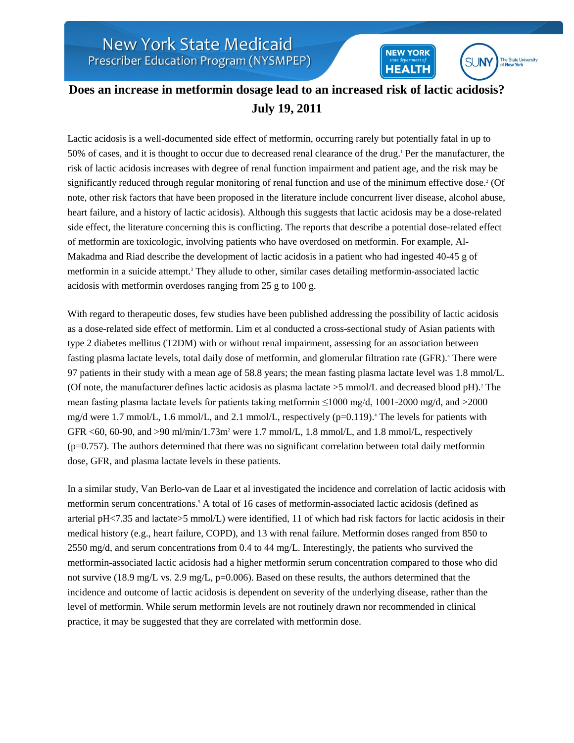

**NEW YORK** 

**HEALTH** 

**SUNY** 

The State University<br>of New York

Lactic acidosis is a well-documented side effect of metformin, occurring rarely but potentially fatal in up to 50% of cases, and it is thought to occur due to decreased renal clearance of the drug.<sup>1</sup> Per the manufacturer, the risk of lactic acidosis increases with degree of renal function impairment and patient age, and the risk may be significantly reduced through regular monitoring of renal function and use of the minimum effective dose.<sup>2</sup> (Of note, other risk factors that have been proposed in the literature include concurrent liver disease, alcohol abuse, heart failure, and a history of lactic acidosis). Although this suggests that lactic acidosis may be a dose-related side effect, the literature concerning this is conflicting. The reports that describe a potential dose-related effect of metformin are toxicologic, involving patients who have overdosed on metformin. For example, Al-Makadma and Riad describe the development of lactic acidosis in a patient who had ingested 40-45 g of metformin in a suicide attempt.<sup>3</sup> They allude to other, similar cases detailing metformin-associated lactic acidosis with metformin overdoses ranging from 25 g to 100 g.

With regard to therapeutic doses, few studies have been published addressing the possibility of lactic acidosis as a dose-related side effect of metformin. Lim et al conducted a cross-sectional study of Asian patients with type 2 diabetes mellitus (T2DM) with or without renal impairment, assessing for an association between fasting plasma lactate levels, total daily dose of metformin, and glomerular filtration rate (GFR).<sup>4</sup> There were 97 patients in their study with a mean age of 58.8 years; the mean fasting plasma lactate level was 1.8 mmol/L. (Of note, the manufacturer defines lactic acidosis as plasma lactate  $>5$  mmol/L and decreased blood pH).<sup>2</sup> The mean fasting plasma lactate levels for patients taking metformin  $\leq$ 1000 mg/d, 1001-2000 mg/d, and  $>$ 2000 mg/d were 1.7 mmol/L, 1.6 mmol/L, and 2.1 mmol/L, respectively (p=0.119).<sup>4</sup> The levels for patients with GFR  $\lt 60$ , 60-90, and  $\gt 90$  ml/min/1.73m<sup>2</sup> were 1.7 mmol/L, 1.8 mmol/L, and 1.8 mmol/L, respectively  $(p=0.757)$ . The authors determined that there was no significant correlation between total daily metformin dose, GFR, and plasma lactate levels in these patients.

In a similar study, Van Berlo-van de Laar et al investigated the incidence and correlation of lactic acidosis with metformin serum concentrations.<sup>5</sup> A total of 16 cases of metformin-associated lactic acidosis (defined as arterial pH<7.35 and lactate>5 mmol/L) were identified, 11 of which had risk factors for lactic acidosis in their medical history (e.g., heart failure, COPD), and 13 with renal failure. Metformin doses ranged from 850 to 2550 mg/d, and serum concentrations from 0.4 to 44 mg/L. Interestingly, the patients who survived the metformin-associated lactic acidosis had a higher metformin serum concentration compared to those who did not survive (18.9 mg/L vs. 2.9 mg/L, p=0.006). Based on these results, the authors determined that the incidence and outcome of lactic acidosis is dependent on severity of the underlying disease, rather than the level of metformin. While serum metformin levels are not routinely drawn nor recommended in clinical practice, it may be suggested that they are correlated with metformin dose.